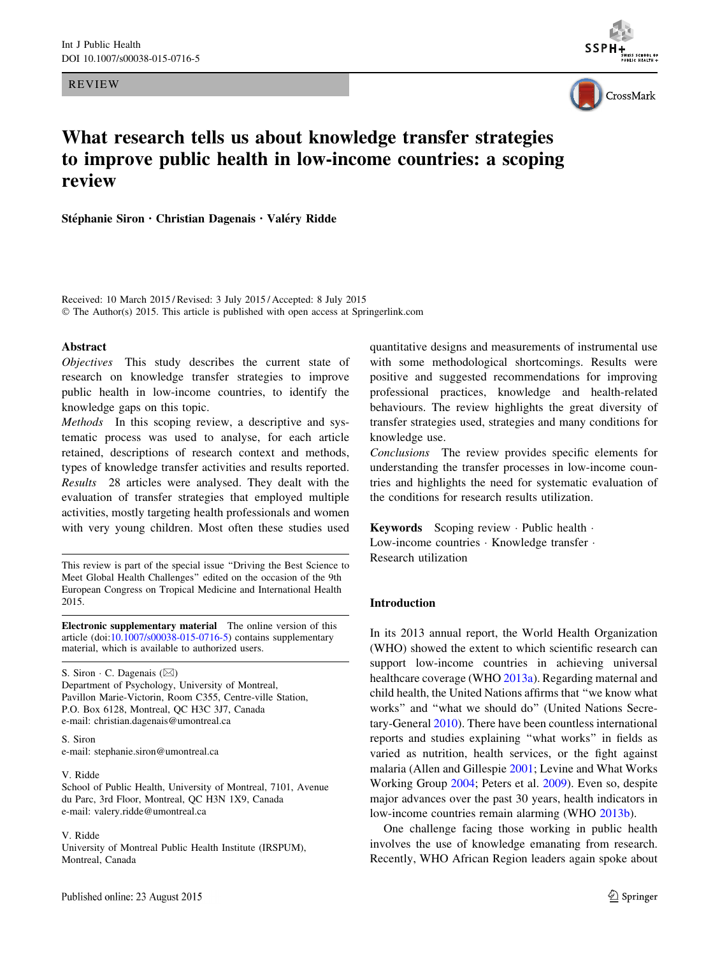REVIEW





# What research tells us about knowledge transfer strategies to improve public health in low-income countries: a scoping review

Stéphanie Siron · Christian Dagenais · Valéry Ridde

Received: 10 March 2015 / Revised: 3 July 2015 / Accepted: 8 July 2015 © The Author(s) 2015. This article is published with open access at Springerlink.com

## Abstract

Objectives This study describes the current state of research on knowledge transfer strategies to improve public health in low-income countries, to identify the knowledge gaps on this topic.

Methods In this scoping review, a descriptive and systematic process was used to analyse, for each article retained, descriptions of research context and methods, types of knowledge transfer activities and results reported. Results 28 articles were analysed. They dealt with the evaluation of transfer strategies that employed multiple activities, mostly targeting health professionals and women with very young children. Most often these studies used

This review is part of the special issue ''Driving the Best Science to Meet Global Health Challenges'' edited on the occasion of the 9th European Congress on Tropical Medicine and International Health 2015.

Electronic supplementary material The online version of this article  $(doi:10.1007/s00038-015-0716-5)$  $(doi:10.1007/s00038-015-0716-5)$  contains supplementary material, which is available to authorized users.

S. Siron  $\cdot$  C. Dagenais ( $\boxtimes$ ) Department of Psychology, University of Montreal, Pavillon Marie-Victorin, Room C355, Centre-ville Station, P.O. Box 6128, Montreal, QC H3C 3J7, Canada e-mail: christian.dagenais@umontreal.ca

S. Siron e-mail: stephanie.siron@umontreal.ca

#### V. Ridde

School of Public Health, University of Montreal, 7101, Avenue du Parc, 3rd Floor, Montreal, QC H3N 1X9, Canada e-mail: valery.ridde@umontreal.ca

#### V. Ridde

University of Montreal Public Health Institute (IRSPUM), Montreal, Canada

quantitative designs and measurements of instrumental use with some methodological shortcomings. Results were positive and suggested recommendations for improving professional practices, knowledge and health-related behaviours. The review highlights the great diversity of transfer strategies used, strategies and many conditions for knowledge use.

Conclusions The review provides specific elements for understanding the transfer processes in low-income countries and highlights the need for systematic evaluation of the conditions for research results utilization.

Keywords Scoping review · Public health · Low-income countries · Knowledge transfer · Research utilization

# Introduction

In its 2013 annual report, the World Health Organization (WHO) showed the extent to which scientific research can support low-income countries in achieving universal healthcare coverage (WHO [2013a](#page-14-0)). Regarding maternal and child health, the United Nations affirms that ''we know what works'' and ''what we should do'' (United Nations Secretary-General [2010\)](#page-14-0). There have been countless international reports and studies explaining ''what works'' in fields as varied as nutrition, health services, or the fight against malaria (Allen and Gillespie [2001;](#page-12-0) Levine and What Works Working Group [2004](#page-13-0); Peters et al. [2009](#page-13-0)). Even so, despite major advances over the past 30 years, health indicators in low-income countries remain alarming (WHO [2013b](#page-14-0)).

One challenge facing those working in public health involves the use of knowledge emanating from research. Recently, WHO African Region leaders again spoke about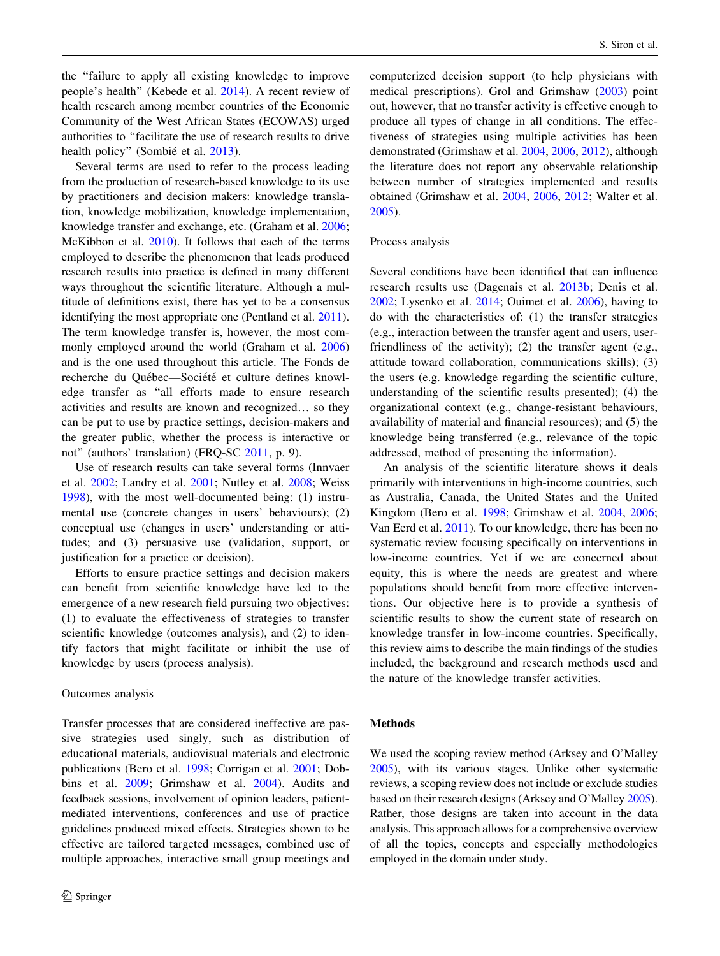the ''failure to apply all existing knowledge to improve people's health'' (Kebede et al. [2014\)](#page-13-0). A recent review of health research among member countries of the Economic Community of the West African States (ECOWAS) urged authorities to ''facilitate the use of research results to drive health policy" (Sombié et al. [2013\)](#page-14-0).

Several terms are used to refer to the process leading from the production of research-based knowledge to its use by practitioners and decision makers: knowledge translation, knowledge mobilization, knowledge implementation, knowledge transfer and exchange, etc. (Graham et al. [2006](#page-13-0); McKibbon et al. [2010](#page-13-0)). It follows that each of the terms employed to describe the phenomenon that leads produced research results into practice is defined in many different ways throughout the scientific literature. Although a multitude of definitions exist, there has yet to be a consensus identifying the most appropriate one (Pentland et al. [2011](#page-13-0)). The term knowledge transfer is, however, the most commonly employed around the world (Graham et al. [2006\)](#page-13-0) and is the one used throughout this article. The Fonds de recherche du Québec—Société et culture defines knowledge transfer as ''all efforts made to ensure research activities and results are known and recognized… so they can be put to use by practice settings, decision-makers and the greater public, whether the process is interactive or not'' (authors' translation) (FRQ-SC [2011](#page-12-0), p. 9).

Use of research results can take several forms (Innvaer et al. [2002;](#page-13-0) Landry et al. [2001;](#page-13-0) Nutley et al. [2008](#page-13-0); Weiss [1998\)](#page-14-0), with the most well-documented being: (1) instrumental use (concrete changes in users' behaviours); (2) conceptual use (changes in users' understanding or attitudes; and (3) persuasive use (validation, support, or justification for a practice or decision).

Efforts to ensure practice settings and decision makers can benefit from scientific knowledge have led to the emergence of a new research field pursuing two objectives: (1) to evaluate the effectiveness of strategies to transfer scientific knowledge (outcomes analysis), and (2) to identify factors that might facilitate or inhibit the use of knowledge by users (process analysis).

#### Outcomes analysis

Transfer processes that are considered ineffective are passive strategies used singly, such as distribution of educational materials, audiovisual materials and electronic publications (Bero et al. [1998](#page-12-0); Corrigan et al. [2001](#page-12-0); Dobbins et al. [2009](#page-12-0); Grimshaw et al. [2004\)](#page-13-0). Audits and feedback sessions, involvement of opinion leaders, patientmediated interventions, conferences and use of practice guidelines produced mixed effects. Strategies shown to be effective are tailored targeted messages, combined use of multiple approaches, interactive small group meetings and computerized decision support (to help physicians with medical prescriptions). Grol and Grimshaw ([2003\)](#page-13-0) point out, however, that no transfer activity is effective enough to produce all types of change in all conditions. The effectiveness of strategies using multiple activities has been demonstrated (Grimshaw et al. [2004](#page-13-0), [2006](#page-13-0), [2012](#page-13-0)), although the literature does not report any observable relationship between number of strategies implemented and results obtained (Grimshaw et al. [2004,](#page-13-0) [2006](#page-13-0), [2012](#page-13-0); Walter et al. [2005](#page-14-0)).

## Process analysis

Several conditions have been identified that can influence research results use (Dagenais et al. [2013b;](#page-12-0) Denis et al. [2002](#page-12-0); Lysenko et al. [2014;](#page-13-0) Ouimet et al. [2006\)](#page-13-0), having to do with the characteristics of: (1) the transfer strategies (e.g., interaction between the transfer agent and users, userfriendliness of the activity); (2) the transfer agent (e.g., attitude toward collaboration, communications skills); (3) the users (e.g. knowledge regarding the scientific culture, understanding of the scientific results presented); (4) the organizational context (e.g., change-resistant behaviours, availability of material and financial resources); and (5) the knowledge being transferred (e.g., relevance of the topic addressed, method of presenting the information).

An analysis of the scientific literature shows it deals primarily with interventions in high-income countries, such as Australia, Canada, the United States and the United Kingdom (Bero et al. [1998;](#page-12-0) Grimshaw et al. [2004](#page-13-0), [2006](#page-13-0); Van Eerd et al. [2011](#page-14-0)). To our knowledge, there has been no systematic review focusing specifically on interventions in low-income countries. Yet if we are concerned about equity, this is where the needs are greatest and where populations should benefit from more effective interventions. Our objective here is to provide a synthesis of scientific results to show the current state of research on knowledge transfer in low-income countries. Specifically, this review aims to describe the main findings of the studies included, the background and research methods used and the nature of the knowledge transfer activities.

# Methods

We used the scoping review method (Arksey and O'Malley [2005\)](#page-12-0), with its various stages. Unlike other systematic reviews, a scoping review does not include or exclude studies based on their research designs (Arksey and O'Malley [2005\)](#page-12-0). Rather, those designs are taken into account in the data analysis. This approach allows for a comprehensive overview of all the topics, concepts and especially methodologies employed in the domain under study.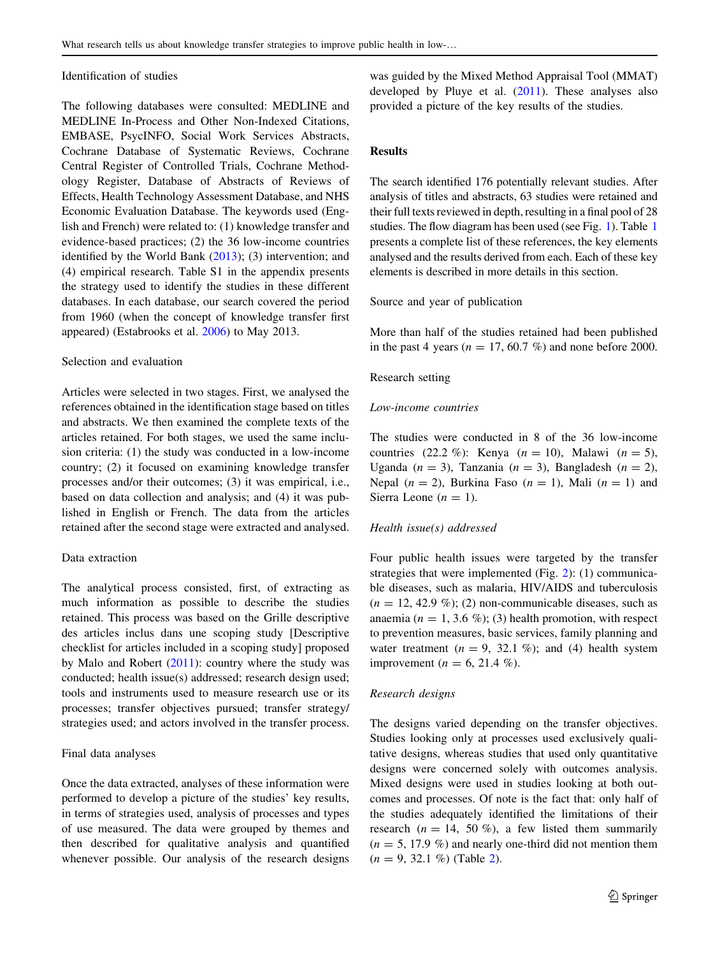#### Identification of studies

The following databases were consulted: MEDLINE and MEDLINE In-Process and Other Non-Indexed Citations, EMBASE, PsycINFO, Social Work Services Abstracts, Cochrane Database of Systematic Reviews, Cochrane Central Register of Controlled Trials, Cochrane Methodology Register, Database of Abstracts of Reviews of Effects, Health Technology Assessment Database, and NHS Economic Evaluation Database. The keywords used (English and French) were related to: (1) knowledge transfer and evidence-based practices; (2) the 36 low-income countries identified by the World Bank [\(2013](#page-14-0)); (3) intervention; and (4) empirical research. Table S1 in the appendix presents the strategy used to identify the studies in these different databases. In each database, our search covered the period from 1960 (when the concept of knowledge transfer first appeared) (Estabrooks et al. [2006](#page-12-0)) to May 2013.

## Selection and evaluation

Articles were selected in two stages. First, we analysed the references obtained in the identification stage based on titles and abstracts. We then examined the complete texts of the articles retained. For both stages, we used the same inclusion criteria: (1) the study was conducted in a low-income country; (2) it focused on examining knowledge transfer processes and/or their outcomes; (3) it was empirical, i.e., based on data collection and analysis; and (4) it was published in English or French. The data from the articles retained after the second stage were extracted and analysed.

#### Data extraction

The analytical process consisted, first, of extracting as much information as possible to describe the studies retained. This process was based on the Grille descriptive des articles inclus dans une scoping study [Descriptive checklist for articles included in a scoping study] proposed by Malo and Robert  $(2011)$  $(2011)$ : country where the study was conducted; health issue(s) addressed; research design used; tools and instruments used to measure research use or its processes; transfer objectives pursued; transfer strategy/ strategies used; and actors involved in the transfer process.

### Final data analyses

Once the data extracted, analyses of these information were performed to develop a picture of the studies' key results, in terms of strategies used, analysis of processes and types of use measured. The data were grouped by themes and then described for qualitative analysis and quantified whenever possible. Our analysis of the research designs was guided by the Mixed Method Appraisal Tool (MMAT) developed by Pluye et al.  $(2011)$ . These analyses also provided a picture of the key results of the studies.

# Results

The search identified 176 potentially relevant studies. After analysis of titles and abstracts, 63 studies were retained and their full texts reviewed in depth, resulting in a final pool of 28 studies. The flow diagram has been used (see Fig. [1\)](#page-3-0). Table [1](#page-4-0) presents a complete list of these references, the key elements analysed and the results derived from each. Each of these key elements is described in more details in this section.

Source and year of publication

More than half of the studies retained had been published in the past 4 years ( $n = 17, 60.7$  %) and none before 2000.

## Research setting

## Low-income countries

The studies were conducted in 8 of the 36 low-income countries (22.2 %): Kenya ( $n = 10$ ), Malawi ( $n = 5$ ), Uganda ( $n = 3$ ), Tanzania ( $n = 3$ ), Bangladesh ( $n = 2$ ), Nepal  $(n = 2)$ , Burkina Faso  $(n = 1)$ , Mali  $(n = 1)$  and Sierra Leone ( $n = 1$ ).

#### Health issue(s) addressed

Four public health issues were targeted by the transfer strategies that were implemented (Fig. [2](#page-7-0)): (1) communicable diseases, such as malaria, HIV/AIDS and tuberculosis  $(n = 12, 42.9 \%)$ ; (2) non-communicable diseases, such as anaemia ( $n = 1, 3.6 \%$ ); (3) health promotion, with respect to prevention measures, basic services, family planning and water treatment ( $n = 9$ , 32.1 %); and (4) health system improvement ( $n = 6, 21.4\%$ ).

#### Research designs

The designs varied depending on the transfer objectives. Studies looking only at processes used exclusively qualitative designs, whereas studies that used only quantitative designs were concerned solely with outcomes analysis. Mixed designs were used in studies looking at both outcomes and processes. Of note is the fact that: only half of the studies adequately identified the limitations of their research ( $n = 14$ , 50 %), a few listed them summarily  $(n = 5, 17.9 \%)$  and nearly one-third did not mention them  $(n = 9, 32.1 \%)$  (Table [2\)](#page-7-0).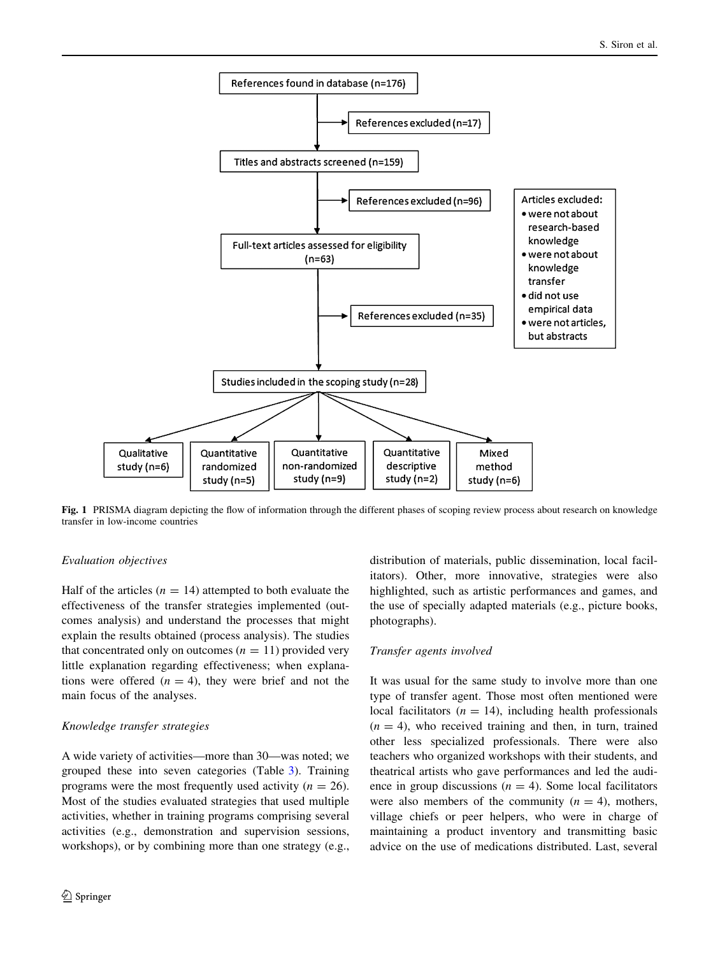<span id="page-3-0"></span>

Fig. 1 PRISMA diagram depicting the flow of information through the different phases of scoping review process about research on knowledge transfer in low-income countries

# Evaluation objectives

Half of the articles ( $n = 14$ ) attempted to both evaluate the effectiveness of the transfer strategies implemented (outcomes analysis) and understand the processes that might explain the results obtained (process analysis). The studies that concentrated only on outcomes  $(n = 11)$  provided very little explanation regarding effectiveness; when explanations were offered  $(n = 4)$ , they were brief and not the main focus of the analyses.

# Knowledge transfer strategies

A wide variety of activities—more than 30—was noted; we grouped these into seven categories (Table [3\)](#page-7-0). Training programs were the most frequently used activity ( $n = 26$ ). Most of the studies evaluated strategies that used multiple activities, whether in training programs comprising several activities (e.g., demonstration and supervision sessions, workshops), or by combining more than one strategy (e.g., distribution of materials, public dissemination, local facilitators). Other, more innovative, strategies were also highlighted, such as artistic performances and games, and the use of specially adapted materials (e.g., picture books, photographs).

# Transfer agents involved

It was usual for the same study to involve more than one type of transfer agent. Those most often mentioned were local facilitators ( $n = 14$ ), including health professionals  $(n = 4)$ , who received training and then, in turn, trained other less specialized professionals. There were also teachers who organized workshops with their students, and theatrical artists who gave performances and led the audience in group discussions  $(n = 4)$ . Some local facilitators were also members of the community  $(n = 4)$ , mothers, village chiefs or peer helpers, who were in charge of maintaining a product inventory and transmitting basic advice on the use of medications distributed. Last, several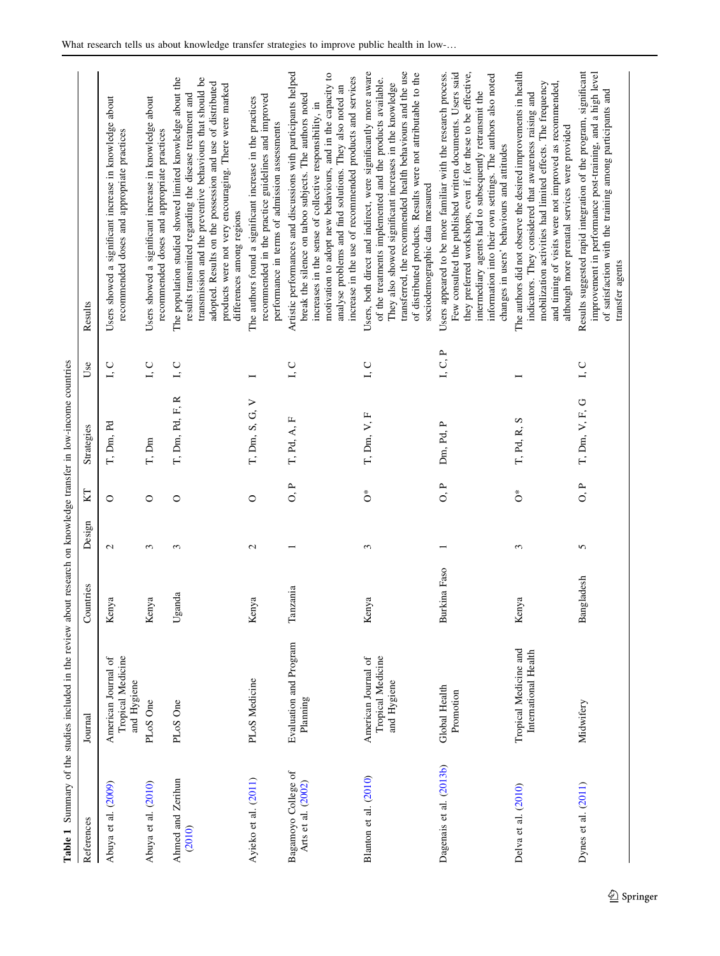<span id="page-4-0"></span>

|                                           | Table 1 Summary of the studies included in the review about research on knowledge transfer in low-income countries |                |              |         |                            |                       |                                                                                                                                                                                                                                                                                                                                                                          |
|-------------------------------------------|--------------------------------------------------------------------------------------------------------------------|----------------|--------------|---------|----------------------------|-----------------------|--------------------------------------------------------------------------------------------------------------------------------------------------------------------------------------------------------------------------------------------------------------------------------------------------------------------------------------------------------------------------|
| References                                | Journal                                                                                                            | Countries      | Design       | KI      | Strategies                 | Use                   | Results                                                                                                                                                                                                                                                                                                                                                                  |
| Abuya et al. (2009)                       | Tropical Medicine<br>American Journal of<br>and Hygiene                                                            | Kenya          | $\mathbf{C}$ | $\circ$ | T, Dm, Pd                  | L, C                  | Users showed a significant increase in knowledge about<br>recommended doses and appropriate practices                                                                                                                                                                                                                                                                    |
| Abuya et al. (2010)                       | PLoS One                                                                                                           | Kenya          | $\epsilon$   | $\circ$ | T, Dm                      | I, C                  | Users showed a significant increase in knowledge about<br>recommended doses and appropriate practices                                                                                                                                                                                                                                                                    |
| Ahmed and Zerihun<br>(2010)               | PLoS One                                                                                                           | Uganda         | 3            | 0       | $\approx$<br>T, Dm, Pd, F, | L, C                  | transmission and the preventive behaviours that should be<br>The population studied showed limited knowledge about the<br>adopted. Results on the possession and use of distributed<br>products were not very encouraging. There were marked<br>results transmitted regarding the disease treatment and<br>differences among regions                                     |
| Ayieko et al. (2011)                      | PLoS Medicine                                                                                                      | Kenya          | 2            | $\circ$ | $T$ , Dm, S, G, V          | ⊢                     | recommended in the practice guidelines and improved<br>The authors found a significant increase in the practices<br>performance in terms of admission assessments                                                                                                                                                                                                        |
| Bagamoyo College of<br>Arts et al. (2002) | Evaluation and Program<br>Planning                                                                                 | Tanzania       |              | 0. P    | T, Pd, A, F                | L, C                  | Artistic performances and discussions with participants helped<br>motivation to adopt new behaviours, and in the capacity to<br>increase in the use of recommended products and services<br>analyse problems and find solutions. They also noted an<br>break the silence on taboo subjects. The authors noted<br>increases in the sense of collective responsibility, in |
| Blanton et al. (2010)                     | Tropical Medicine<br>American Journal of<br>and Hygiene                                                            | Kenya          | 3            | Ő       | T, Dm, V, F                | L, C                  | transferred, the recommended health behaviours and the use<br>Users, both direct and indirect, were significantly more aware<br>of distributed products. Results were not attributable to the<br>of the treatments implemented and the products available.<br>They also showed significant increases in the knowledge<br>sociodemographic data measured                  |
| Dagenais et al. (2013b)                   | Global Health<br>Promotion                                                                                         | Burkina Faso   |              | O, P    | Dm, Pd, P                  | $I, C, P$             | Few consulted the published written documents. Users said<br>they preferred workshops, even if, for these to be effective,<br>Users appeared to be more familiar with the research process.<br>information into their own settings. The authors also noted<br>intermediary agents had to subsequently retransmit the<br>changes in users' behaviours and attitudes       |
| Delva et al. (2010)                       | Tropical Medicine and<br>International Health                                                                      | Kenya          | 3            | Ő       | T, Pd, R, S                |                       | The authors did not observe the desired improvements in health<br>mobilization activities had limited effects. The frequency<br>and timing of visits were not improved as recommended,<br>indicators. They considered that awareness raising and<br>although more prenatal services were provided                                                                        |
| Dynes et al. (2011)                       | Midwifery                                                                                                          | gladesh<br>Ban | 5            | P<br>O, | T, Dm, V, F, G             | ${\tt l}$ . ${\tt C}$ | improvement in performance post-training, and a high level<br>Results suggested rapid integration of the program, significant<br>of satisfaction with the training among participants and<br>transfer agents                                                                                                                                                             |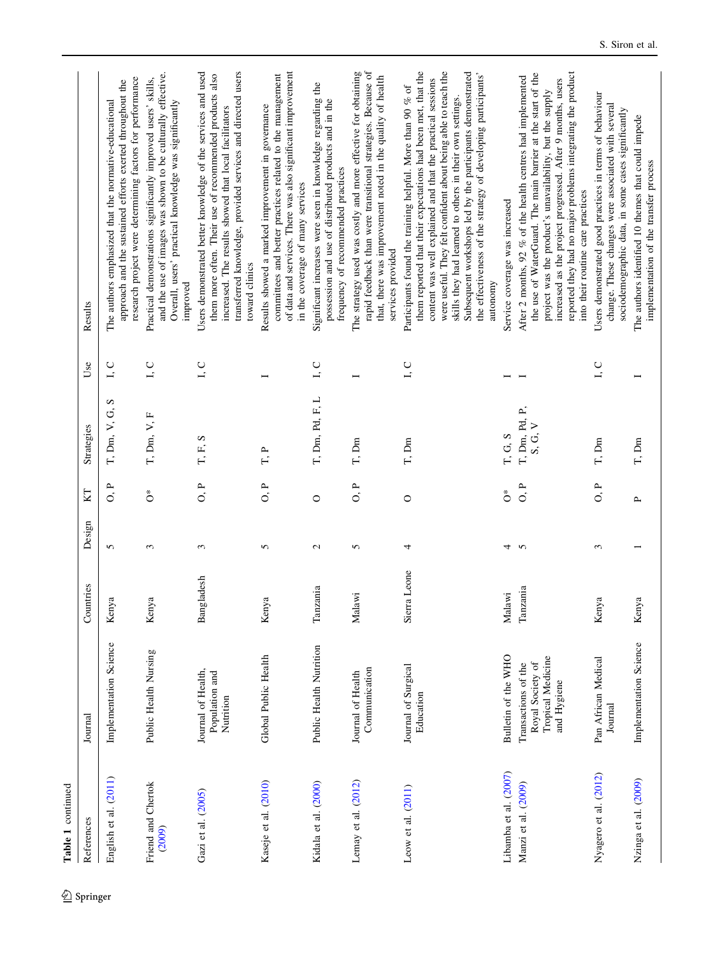| Table 1 continued            |                                                                             |                        |              |                |                          |                         |                                                                                                                                                                                                                                                                                                                                                                                                                                                                  |
|------------------------------|-----------------------------------------------------------------------------|------------------------|--------------|----------------|--------------------------|-------------------------|------------------------------------------------------------------------------------------------------------------------------------------------------------------------------------------------------------------------------------------------------------------------------------------------------------------------------------------------------------------------------------------------------------------------------------------------------------------|
| References                   | Journal                                                                     | Countries              | Design       | KT             | Strategies               | Use                     | Results                                                                                                                                                                                                                                                                                                                                                                                                                                                          |
| English et al. (2011)        | Implementation Science                                                      | ā<br>Keny              | 5            | $\frac{P}{Q}$  | n<br>T, Dm, V, G,        | Õ                       | research project were determining factors for performance<br>approach and the sustained efforts exerted throughout the<br>The authors emphasized that the normative-educational                                                                                                                                                                                                                                                                                  |
| Friend and Chertok<br>(2009) | Public Health Nursing                                                       | <b>z</b><br>Keny       | 3            | ő              | T, Dm, V, F              | $\cup$<br>I,            | and the use of images was shown to be culturally effective.<br>Practical demonstrations significantly improved users' skills,<br>Overall, users' practical knowledge was significantly<br>improved                                                                                                                                                                                                                                                               |
| Gazi et al. (2005)           | Journal of Health,<br>Population and<br>Nutrition                           | Bangladesh             | 3            | $\overline{O}$ | S<br>T, F,               | $\mathsf{I},\mathsf{C}$ | Users demonstrated better knowledge of the services and used<br>transferred knowledge, provided services and directed users<br>them more often. Their use of recommended products also<br>increased. The results showed that local facilitators<br>toward clinics                                                                                                                                                                                                |
| Kaseje et al. (2010)         | Global Public Health                                                        | $\overline{a}$<br>Keny | 5            | a<br>O         | $\Gamma$ P               |                         | of data and services. There was also significant improvement<br>committees and better practices related to the management<br>Results showed a marked improvement in governance<br>in the coverage of many services                                                                                                                                                                                                                                               |
| Kidala et al. (2000)         | Public Health Nutrition                                                     | Tanzania               | $\mathbf{c}$ | $\circ$        | T, Dm, Pd, F, L          | ${\tt I}, {\tt C}$      | Significant increases were seen in knowledge regarding the<br>possession and use of distributed products and in the<br>frequency of recommended practices                                                                                                                                                                                                                                                                                                        |
| Lemay et al. (2012)          | Communication<br>Journal of Health                                          | Malawi                 | 5            | a<br>O         | T, Dm                    |                         | rapid feedback than were transitional strategies. Because of<br>The strategy used was costly and more effective for obtaining<br>that, there was improvement noted in the quality of health<br>services provided                                                                                                                                                                                                                                                 |
| Leow et al. $(2011)$         | Journal of Surgical<br>Education                                            | Sierra Leone           | 4            | $\circ$        | T, Dm                    | L, C                    | them reported that their expectations had been met, that the<br>were useful. They felt confident about being able to teach the<br>Subsequent workshops led by the participants demonstrated<br>the effectiveness of the strategy of developing participants'<br>content was well explained and that the practical sessions<br>Participants found the training helpful. More than 90 % of<br>skills they had learned to others in their own settings.<br>autonomy |
| Libamba et al. (2007)        | Bulletin of the WHO                                                         | Malawi                 | 4            | Ő              | T, G, S                  |                         | Service coverage was increased                                                                                                                                                                                                                                                                                                                                                                                                                                   |
| Manzi et al. (2009)          | Tropical Medicine<br>Royal Society of<br>Transactions of the<br>and Hygiene | Tanzania               | $\sim$       | a<br>O         | I, Dm, Pd, P,<br>S, G, V |                         | reported they had no major problems integrating the product<br>the use of WaterGuard. The main barrier at the start of the<br>After 2 months, 92 % of the health centres had implemented<br>increased as the project progressed. After 9 months, users<br>project was the product's unavailability, but the supply<br>into their routine care practices                                                                                                          |
| Nyagero et al. (2012)        | Pan African Medical<br>Journal                                              | Kenya                  | ξ            | a<br>O         | T, Dm                    | L, C                    | Users demonstrated good practices in terms of behaviour<br>change. These changes were associated with several<br>sociodemographic data, in some cases significantly                                                                                                                                                                                                                                                                                              |
| Nzinga et al. (2009)         | Implementation Science                                                      | Kenya                  |              | $\sim$         | T, Dm                    |                         | The authors identified 10 themes that could impede<br>implementation of the transfer process                                                                                                                                                                                                                                                                                                                                                                     |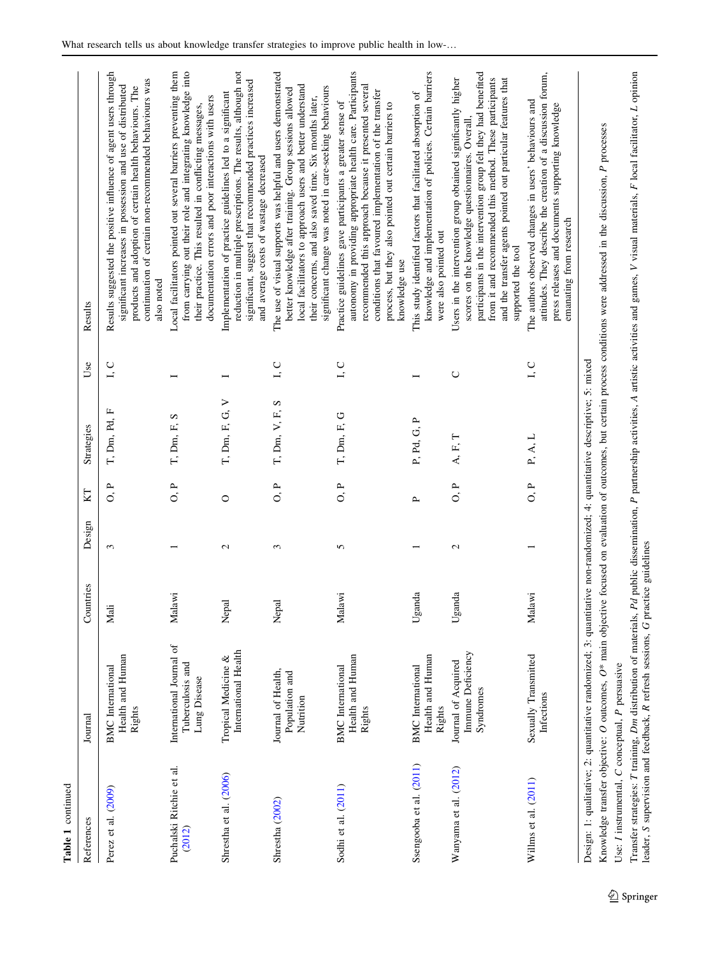| Table 1 continued                               |                                                                                                                                                                                                                                                                 |           |               |                                 |                |        |                                                                                                                                                                                                                                                                                                                                      |
|-------------------------------------------------|-----------------------------------------------------------------------------------------------------------------------------------------------------------------------------------------------------------------------------------------------------------------|-----------|---------------|---------------------------------|----------------|--------|--------------------------------------------------------------------------------------------------------------------------------------------------------------------------------------------------------------------------------------------------------------------------------------------------------------------------------------|
| References                                      | Journal                                                                                                                                                                                                                                                         | Countries | Design        | KT                              | Strategies     | Use    | Results                                                                                                                                                                                                                                                                                                                              |
| Perez et al. (2009)                             | Health and Human<br><b>BMC</b> International<br>Rights                                                                                                                                                                                                          | Mali      | 3             | $\overline{O}$ , $\overline{P}$ | T, Dm, Pd, F   | L, C   | Results suggested the positive influence of agent users through<br>continuation of certain non-recommended behaviours was<br>significant increases in possession and use of distributed<br>products and adoption of certain health behaviours. The<br>also noted                                                                     |
| Puchalski Ritchie et al.<br>(2012)              | International Journal of<br>Tuberculosis and<br>Lung Disease                                                                                                                                                                                                    | Malawi    |               | 0, P                            | T, Dm, F, S    |        | from carrying out their role and integrating knowledge into<br>Local facilitators pointed out several barriers preventing them<br>documentation errors and poor interactions with users<br>their practice. This resulted in conflicting messages,                                                                                    |
| Shrestha et al. (2006)                          | International Health<br>Tropical Medicine &                                                                                                                                                                                                                     | Nepal     | $\mathcal{L}$ | $\circ$                         | T, Dm, F, G, V | Ī      | reduction in multiple prescriptions. The results, although not<br>significant, suggest that recommended practices increased<br>Implementation of practice guidelines led to a significant<br>and average costs of wastage decreased                                                                                                  |
| Shrestha (2002)                                 | Journal of Health,<br>Population and<br>Nutrition                                                                                                                                                                                                               | Nepal     | 3             | O, P                            | T, Dm, V, F, S | I, C   | The use of visual supports was helpful and users demonstrated<br>local facilitators to approach users and better understand<br>significant change was noted in care-seeking behaviours<br>better knowledge after training. Group sessions allowed<br>their concerns, and also saved time. Six months later,                          |
| Sodhi et al. (2011)                             | Health and Human<br><b>BMC</b> International<br>Rights                                                                                                                                                                                                          | Malawi    | 5             | O, P                            | T, Dm, F, G    | L, C   | autonomy in providing appropriate health care. Participants<br>recommended this approach because it presented several<br>conditions that favoured implementation of the transfer<br>Practice guidelines gave participants a greater sense of<br>process, but they also pointed out certain barriers to<br>knowledge use              |
| Ssengooba et al. (2011)                         | Health and Human<br><b>BMC</b> International<br>Rights                                                                                                                                                                                                          | Uganda    |               | <b>L</b>                        | P, Pd, G, P    |        | knowledge and implementation of policies. Certain barriers<br>This study identified factors that facilitated absorption of<br>were also pointed out                                                                                                                                                                                  |
| Wanyama et al. (2012)                           | Immune Deficiency<br>Journal of Acquired<br>Syndromes                                                                                                                                                                                                           | Uganda    | $\mathcal{L}$ | $\overline{O}$ .                | A, F, T        | $\cup$ | participants in the intervention group felt they had benefited<br>from it and recommended this method. These participants<br>and the transfer agents pointed out particular features that<br>Users in the intervention group obtained significantly higher<br>scores on the knowledge questionnaires. Overall,<br>supported the tool |
| Willms et al. (2011)                            | Sexually Transmitted<br>Infections                                                                                                                                                                                                                              | Malawi    |               | 0, P                            | P, A, L        | L, C   | attitudes. They describe the creation of a discussion forum,<br>The authors observed changes in users' behaviours and<br>press releases and documents supporting knowledge<br>emanating from research                                                                                                                                |
| Use: I instrumental, C conceptual, P persuasive | Design: 1: qualitative; 2: quantitative randomized; 3: quantitative non-randomized; 4: quantitative descriptive; 5: mixed<br>Knowledge transfer objective: $O$ outcomes, $O^*$ main objection<br>Transfer strategies: T training, Dm distribution of materials, |           |               |                                 |                |        | Pd public dissemination, P partnership activities, A artistic activities and games, V visual materials, F local facilitator, L opinion<br>ve focused on evaluation of outcomes, but certain process conditions were addressed in the discussion, P processes                                                                         |

 $\underline{\textcircled{\tiny 2}}$  Springer

leader, S supervision and feedback,

R refresh sessions,

G

practice guidelines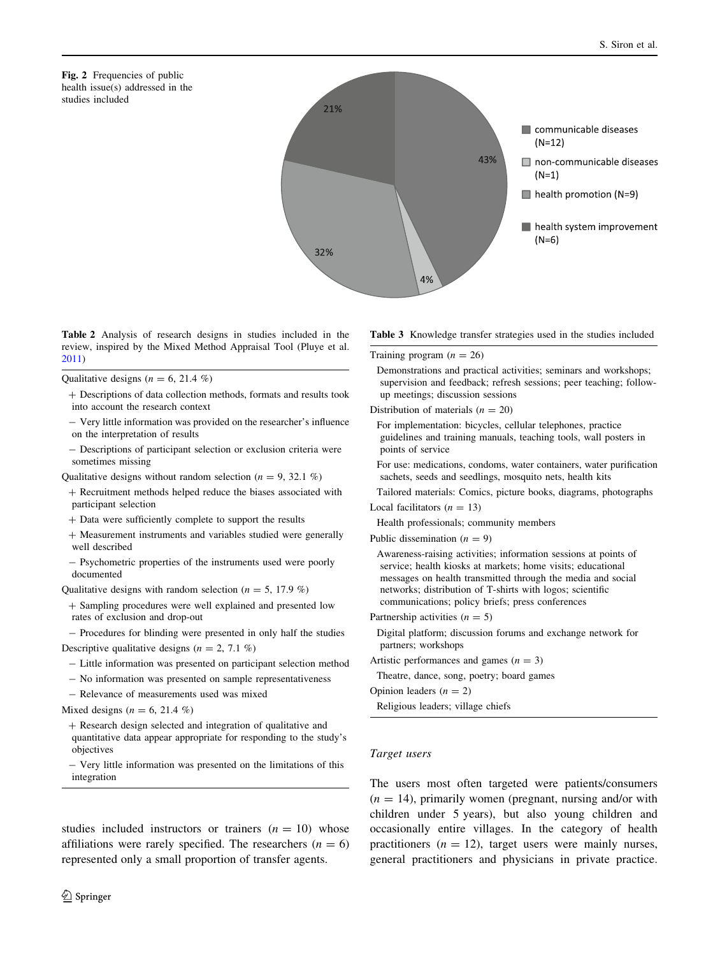<span id="page-7-0"></span>



Table 2 Analysis of research designs in studies included in the review, inspired by the Mixed Method Appraisal Tool (Pluye et al. [2011\)](#page-13-0)

Qualitative designs ( $n = 6, 21.4\%$ )

| + Descriptions of data collection methods, formats and results took |  |
|---------------------------------------------------------------------|--|
| into account the research context                                   |  |

- Very little information was provided on the researcher's influence on the interpretation of results
- Descriptions of participant selection or exclusion criteria were sometimes missing
- Qualitative designs without random selection ( $n = 9, 32.1\%$ )
- ? Recruitment methods helped reduce the biases associated with participant selection
- ? Data were sufficiently complete to support the results
- ? Measurement instruments and variables studied were generally well described
- Psychometric properties of the instruments used were poorly documented

Qualitative designs with random selection ( $n = 5$ , 17.9 %)

? Sampling procedures were well explained and presented low rates of exclusion and drop-out

- Procedures for blinding were presented in only half the studies Descriptive qualitative designs ( $n = 2, 7.1 \%$ )

- Little information was presented on participant selection method
- No information was presented on sample representativeness
- Relevance of measurements used was mixed

Mixed designs ( $n = 6, 21.4\%$ )

? Research design selected and integration of qualitative and quantitative data appear appropriate for responding to the study's objectives

- Very little information was presented on the limitations of this integration

studies included instructors or trainers  $(n = 10)$  whose affiliations were rarely specified. The researchers  $(n = 6)$ represented only a small proportion of transfer agents.

Table 3 Knowledge transfer strategies used in the studies included

Training program  $(n = 26)$ 

Demonstrations and practical activities; seminars and workshops; supervision and feedback; refresh sessions; peer teaching; followup meetings; discussion sessions

Distribution of materials  $(n = 20)$ 

For implementation: bicycles, cellular telephones, practice guidelines and training manuals, teaching tools, wall posters in points of service

For use: medications, condoms, water containers, water purification sachets, seeds and seedlings, mosquito nets, health kits

Tailored materials: Comics, picture books, diagrams, photographs

Local facilitators  $(n = 13)$ 

Health professionals; community members

Public dissemination  $(n = 9)$ 

Awareness-raising activities; information sessions at points of service; health kiosks at markets; home visits; educational messages on health transmitted through the media and social networks; distribution of T-shirts with logos; scientific communications; policy briefs; press conferences

- Partnership activities  $(n = 5)$
- Digital platform; discussion forums and exchange network for partners; workshops
- Artistic performances and games  $(n = 3)$
- Theatre, dance, song, poetry; board games

Opinion leaders  $(n = 2)$ 

Religious leaders; village chiefs

### Target users

The users most often targeted were patients/consumers  $(n = 14)$ , primarily women (pregnant, nursing and/or with children under 5 years), but also young children and occasionally entire villages. In the category of health practitioners  $(n = 12)$ , target users were mainly nurses, general practitioners and physicians in private practice.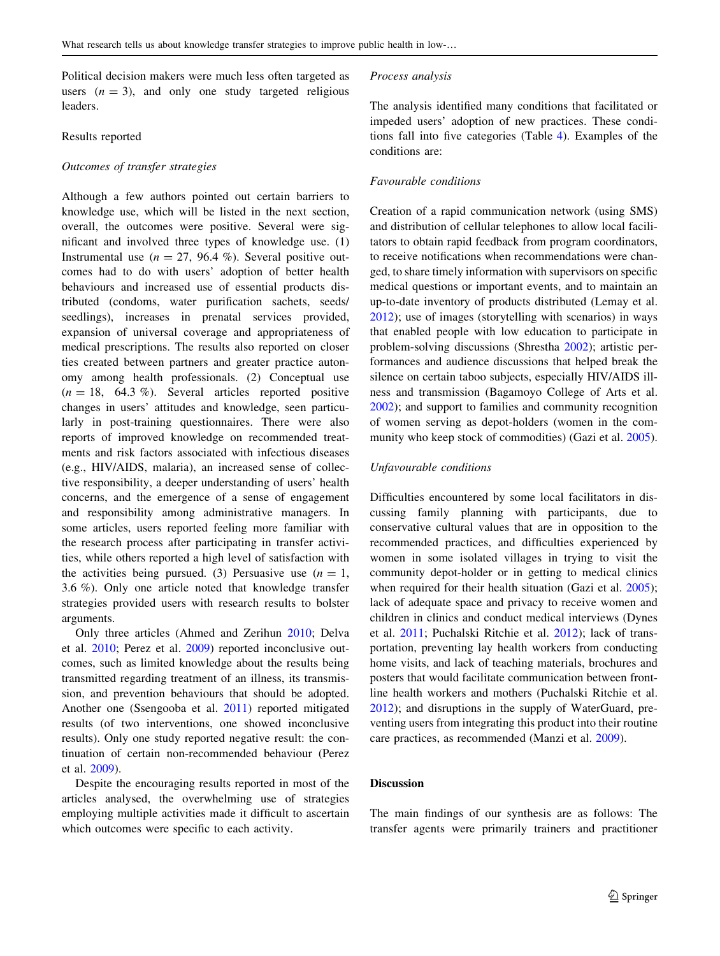Political decision makers were much less often targeted as users  $(n = 3)$ , and only one study targeted religious leaders.

## Results reported

# Outcomes of transfer strategies

Although a few authors pointed out certain barriers to knowledge use, which will be listed in the next section, overall, the outcomes were positive. Several were significant and involved three types of knowledge use. (1) Instrumental use ( $n = 27, 96.4\%$ ). Several positive outcomes had to do with users' adoption of better health behaviours and increased use of essential products distributed (condoms, water purification sachets, seeds/ seedlings), increases in prenatal services provided, expansion of universal coverage and appropriateness of medical prescriptions. The results also reported on closer ties created between partners and greater practice autonomy among health professionals. (2) Conceptual use  $(n = 18, 64.3 \%)$ . Several articles reported positive changes in users' attitudes and knowledge, seen particularly in post-training questionnaires. There were also reports of improved knowledge on recommended treatments and risk factors associated with infectious diseases (e.g., HIV/AIDS, malaria), an increased sense of collective responsibility, a deeper understanding of users' health concerns, and the emergence of a sense of engagement and responsibility among administrative managers. In some articles, users reported feeling more familiar with the research process after participating in transfer activities, while others reported a high level of satisfaction with the activities being pursued. (3) Persuasive use  $(n = 1,$ 3.6 %). Only one article noted that knowledge transfer strategies provided users with research results to bolster arguments.

Only three articles (Ahmed and Zerihun [2010;](#page-12-0) Delva et al. [2010;](#page-12-0) Perez et al. [2009\)](#page-13-0) reported inconclusive outcomes, such as limited knowledge about the results being transmitted regarding treatment of an illness, its transmission, and prevention behaviours that should be adopted. Another one (Ssengooba et al. [2011](#page-14-0)) reported mitigated results (of two interventions, one showed inconclusive results). Only one study reported negative result: the continuation of certain non-recommended behaviour (Perez et al. [2009\)](#page-13-0).

Despite the encouraging results reported in most of the articles analysed, the overwhelming use of strategies employing multiple activities made it difficult to ascertain which outcomes were specific to each activity.

### Process analysis

The analysis identified many conditions that facilitated or impeded users' adoption of new practices. These conditions fall into five categories (Table [4\)](#page-9-0). Examples of the conditions are:

#### Favourable conditions

Creation of a rapid communication network (using SMS) and distribution of cellular telephones to allow local facilitators to obtain rapid feedback from program coordinators, to receive notifications when recommendations were changed, to share timely information with supervisors on specific medical questions or important events, and to maintain an up-to-date inventory of products distributed (Lemay et al. [2012](#page-13-0)); use of images (storytelling with scenarios) in ways that enabled people with low education to participate in problem-solving discussions (Shrestha [2002\)](#page-14-0); artistic performances and audience discussions that helped break the silence on certain taboo subjects, especially HIV/AIDS illness and transmission (Bagamoyo College of Arts et al. [2002](#page-12-0)); and support to families and community recognition of women serving as depot-holders (women in the community who keep stock of commodities) (Gazi et al. [2005](#page-13-0)).

#### Unfavourable conditions

Difficulties encountered by some local facilitators in discussing family planning with participants, due to conservative cultural values that are in opposition to the recommended practices, and difficulties experienced by women in some isolated villages in trying to visit the community depot-holder or in getting to medical clinics when required for their health situation (Gazi et al. [2005](#page-13-0)); lack of adequate space and privacy to receive women and children in clinics and conduct medical interviews (Dynes et al. [2011](#page-12-0); Puchalski Ritchie et al. [2012](#page-13-0)); lack of transportation, preventing lay health workers from conducting home visits, and lack of teaching materials, brochures and posters that would facilitate communication between frontline health workers and mothers (Puchalski Ritchie et al. [2012](#page-13-0)); and disruptions in the supply of WaterGuard, preventing users from integrating this product into their routine care practices, as recommended (Manzi et al. [2009\)](#page-13-0).

# Discussion

The main findings of our synthesis are as follows: The transfer agents were primarily trainers and practitioner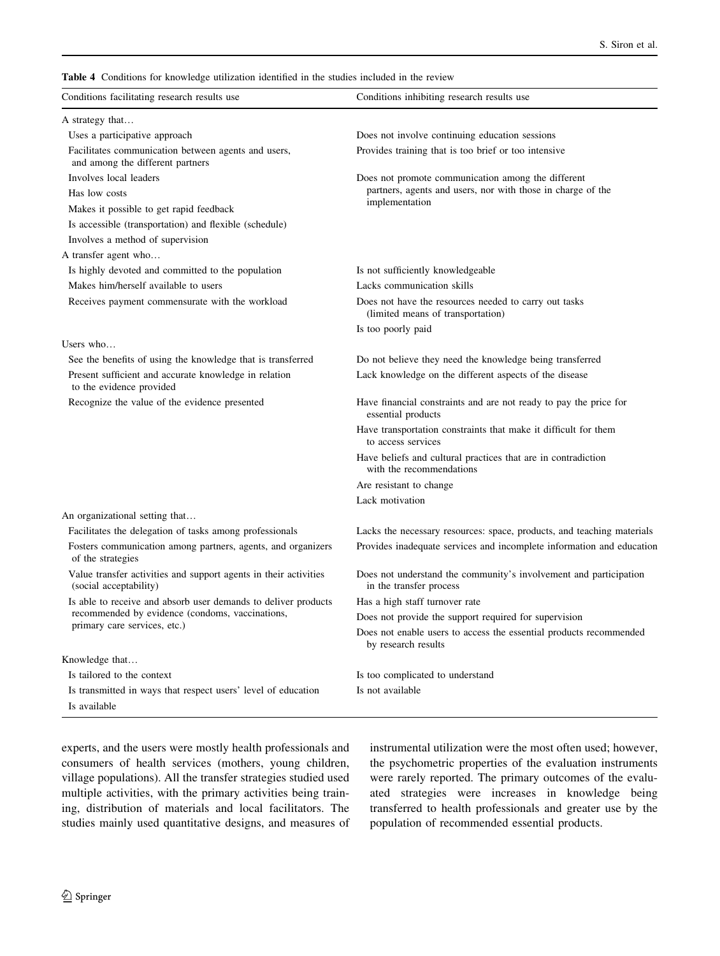<span id="page-9-0"></span>Table 4 Conditions for knowledge utilization identified in the studies included in the review

| Conditions facilitating research results use                                               | Conditions inhibiting research results use                                                   |
|--------------------------------------------------------------------------------------------|----------------------------------------------------------------------------------------------|
| A strategy that                                                                            |                                                                                              |
| Uses a participative approach                                                              | Does not involve continuing education sessions                                               |
| Facilitates communication between agents and users,<br>and among the different partners    | Provides training that is too brief or too intensive                                         |
| Involves local leaders                                                                     | Does not promote communication among the different                                           |
| Has low costs                                                                              | partners, agents and users, nor with those in charge of the                                  |
| Makes it possible to get rapid feedback                                                    | implementation                                                                               |
| Is accessible (transportation) and flexible (schedule)                                     |                                                                                              |
| Involves a method of supervision                                                           |                                                                                              |
| A transfer agent who                                                                       |                                                                                              |
| Is highly devoted and committed to the population                                          | Is not sufficiently knowledgeable                                                            |
| Makes him/herself available to users                                                       | Lacks communication skills                                                                   |
| Receives payment commensurate with the workload                                            | Does not have the resources needed to carry out tasks<br>(limited means of transportation)   |
|                                                                                            | Is too poorly paid                                                                           |
| Users who                                                                                  |                                                                                              |
| See the benefits of using the knowledge that is transferred                                | Do not believe they need the knowledge being transferred                                     |
| Present sufficient and accurate knowledge in relation<br>to the evidence provided          | Lack knowledge on the different aspects of the disease                                       |
| Recognize the value of the evidence presented                                              | Have financial constraints and are not ready to pay the price for<br>essential products      |
| An organizational setting that                                                             | Have transportation constraints that make it difficult for them<br>to access services        |
|                                                                                            | Have beliefs and cultural practices that are in contradiction<br>with the recommendations    |
|                                                                                            | Are resistant to change                                                                      |
|                                                                                            | Lack motivation                                                                              |
|                                                                                            |                                                                                              |
| Facilitates the delegation of tasks among professionals                                    | Lacks the necessary resources: space, products, and teaching materials                       |
| Fosters communication among partners, agents, and organizers<br>of the strategies          | Provides inadequate services and incomplete information and education                        |
| Value transfer activities and support agents in their activities<br>(social acceptability) | Does not understand the community's involvement and participation<br>in the transfer process |
| Is able to receive and absorb user demands to deliver products                             | Has a high staff turnover rate                                                               |
| recommended by evidence (condoms, vaccinations,                                            | Does not provide the support required for supervision                                        |
| primary care services, etc.)                                                               | Does not enable users to access the essential products recommended<br>by research results    |
| Knowledge that                                                                             |                                                                                              |
| Is tailored to the context                                                                 | Is too complicated to understand                                                             |
| Is transmitted in ways that respect users' level of education                              | Is not available                                                                             |
| Is available                                                                               |                                                                                              |

experts, and the users were mostly health professionals and consumers of health services (mothers, young children, village populations). All the transfer strategies studied used multiple activities, with the primary activities being training, distribution of materials and local facilitators. The studies mainly used quantitative designs, and measures of instrumental utilization were the most often used; however, the psychometric properties of the evaluation instruments were rarely reported. The primary outcomes of the evaluated strategies were increases in knowledge being transferred to health professionals and greater use by the population of recommended essential products.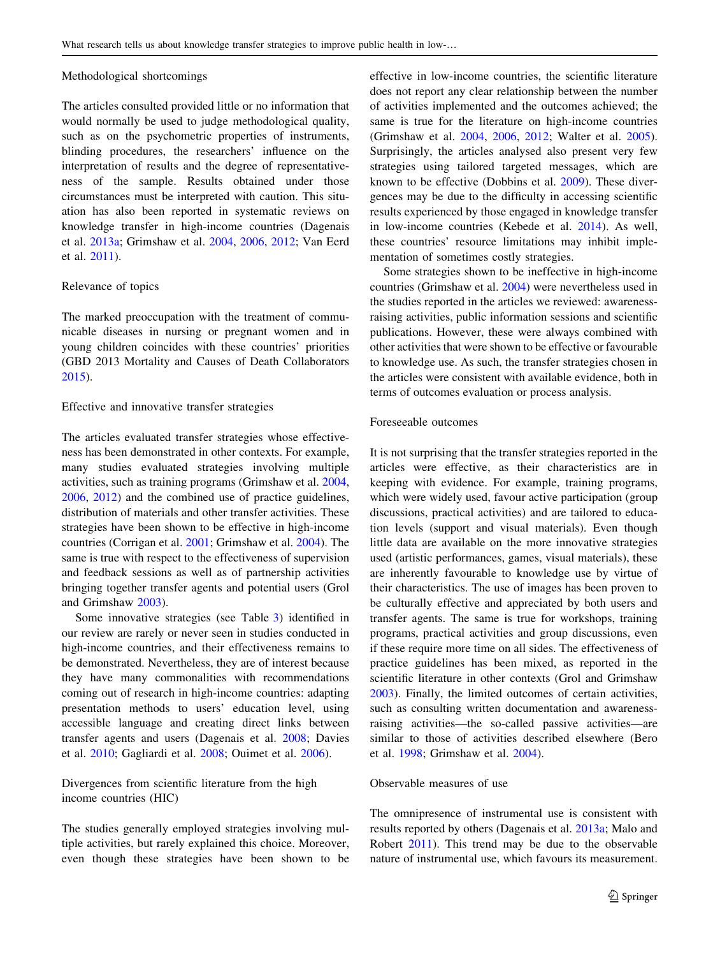#### Methodological shortcomings

The articles consulted provided little or no information that would normally be used to judge methodological quality, such as on the psychometric properties of instruments, blinding procedures, the researchers' influence on the interpretation of results and the degree of representativeness of the sample. Results obtained under those circumstances must be interpreted with caution. This situation has also been reported in systematic reviews on knowledge transfer in high-income countries (Dagenais et al. [2013a;](#page-12-0) Grimshaw et al. [2004](#page-13-0), [2006,](#page-13-0) [2012](#page-13-0); Van Eerd et al. [2011\)](#page-14-0).

# Relevance of topics

The marked preoccupation with the treatment of communicable diseases in nursing or pregnant women and in young children coincides with these countries' priorities (GBD 2013 Mortality and Causes of Death Collaborators [2015\)](#page-13-0).

## Effective and innovative transfer strategies

The articles evaluated transfer strategies whose effectiveness has been demonstrated in other contexts. For example, many studies evaluated strategies involving multiple activities, such as training programs (Grimshaw et al. [2004,](#page-13-0) [2006,](#page-13-0) [2012](#page-13-0)) and the combined use of practice guidelines, distribution of materials and other transfer activities. These strategies have been shown to be effective in high-income countries (Corrigan et al. [2001;](#page-12-0) Grimshaw et al. [2004](#page-13-0)). The same is true with respect to the effectiveness of supervision and feedback sessions as well as of partnership activities bringing together transfer agents and potential users (Grol and Grimshaw [2003\)](#page-13-0).

Some innovative strategies (see Table [3\)](#page-7-0) identified in our review are rarely or never seen in studies conducted in high-income countries, and their effectiveness remains to be demonstrated. Nevertheless, they are of interest because they have many commonalities with recommendations coming out of research in high-income countries: adapting presentation methods to users' education level, using accessible language and creating direct links between transfer agents and users (Dagenais et al. [2008;](#page-12-0) Davies et al. [2010;](#page-12-0) Gagliardi et al. [2008;](#page-12-0) Ouimet et al. [2006\)](#page-13-0).

Divergences from scientific literature from the high income countries (HIC)

The studies generally employed strategies involving multiple activities, but rarely explained this choice. Moreover, even though these strategies have been shown to be effective in low-income countries, the scientific literature does not report any clear relationship between the number of activities implemented and the outcomes achieved; the same is true for the literature on high-income countries (Grimshaw et al. [2004,](#page-13-0) [2006,](#page-13-0) [2012](#page-13-0); Walter et al. [2005](#page-14-0)). Surprisingly, the articles analysed also present very few strategies using tailored targeted messages, which are known to be effective (Dobbins et al. [2009\)](#page-12-0). These divergences may be due to the difficulty in accessing scientific results experienced by those engaged in knowledge transfer in low-income countries (Kebede et al. [2014](#page-13-0)). As well, these countries' resource limitations may inhibit implementation of sometimes costly strategies.

Some strategies shown to be ineffective in high-income countries (Grimshaw et al. [2004](#page-13-0)) were nevertheless used in the studies reported in the articles we reviewed: awarenessraising activities, public information sessions and scientific publications. However, these were always combined with other activities that were shown to be effective or favourable to knowledge use. As such, the transfer strategies chosen in the articles were consistent with available evidence, both in terms of outcomes evaluation or process analysis.

## Foreseeable outcomes

It is not surprising that the transfer strategies reported in the articles were effective, as their characteristics are in keeping with evidence. For example, training programs, which were widely used, favour active participation (group discussions, practical activities) and are tailored to education levels (support and visual materials). Even though little data are available on the more innovative strategies used (artistic performances, games, visual materials), these are inherently favourable to knowledge use by virtue of their characteristics. The use of images has been proven to be culturally effective and appreciated by both users and transfer agents. The same is true for workshops, training programs, practical activities and group discussions, even if these require more time on all sides. The effectiveness of practice guidelines has been mixed, as reported in the scientific literature in other contexts (Grol and Grimshaw [2003](#page-13-0)). Finally, the limited outcomes of certain activities, such as consulting written documentation and awarenessraising activities—the so-called passive activities—are similar to those of activities described elsewhere (Bero et al. [1998;](#page-12-0) Grimshaw et al. [2004](#page-13-0)).

## Observable measures of use

The omnipresence of instrumental use is consistent with results reported by others (Dagenais et al. [2013a;](#page-12-0) Malo and Robert [2011](#page-13-0)). This trend may be due to the observable nature of instrumental use, which favours its measurement.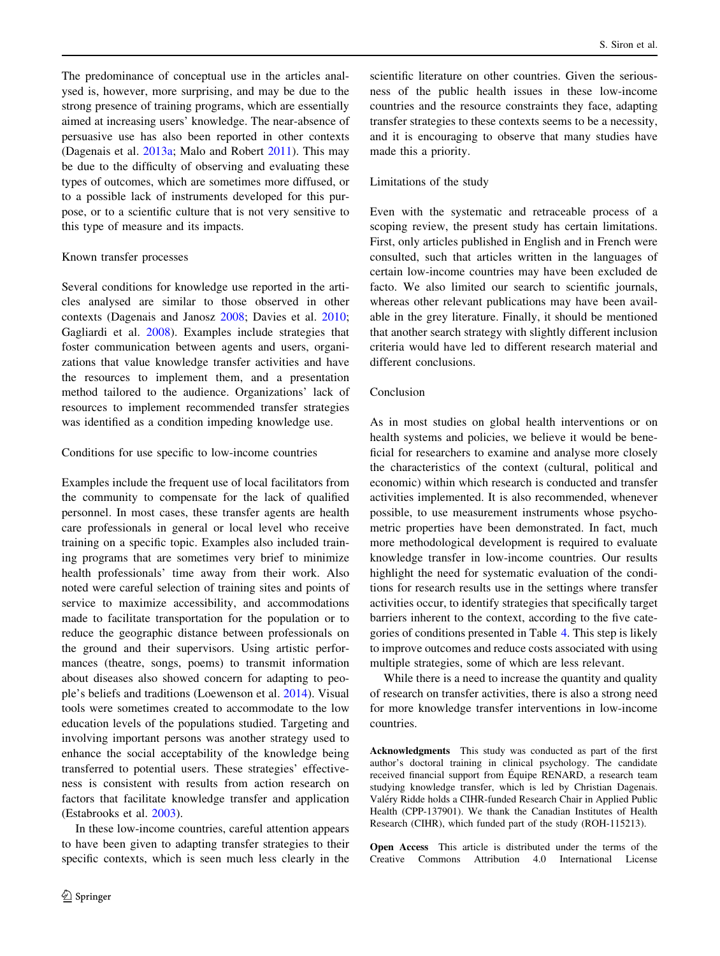The predominance of conceptual use in the articles analysed is, however, more surprising, and may be due to the strong presence of training programs, which are essentially aimed at increasing users' knowledge. The near-absence of persuasive use has also been reported in other contexts (Dagenais et al. [2013a;](#page-12-0) Malo and Robert [2011\)](#page-13-0). This may be due to the difficulty of observing and evaluating these types of outcomes, which are sometimes more diffused, or to a possible lack of instruments developed for this purpose, or to a scientific culture that is not very sensitive to this type of measure and its impacts.

### Known transfer processes

Several conditions for knowledge use reported in the articles analysed are similar to those observed in other contexts (Dagenais and Janosz [2008](#page-12-0); Davies et al. [2010](#page-12-0); Gagliardi et al. [2008](#page-12-0)). Examples include strategies that foster communication between agents and users, organizations that value knowledge transfer activities and have the resources to implement them, and a presentation method tailored to the audience. Organizations' lack of resources to implement recommended transfer strategies was identified as a condition impeding knowledge use.

## Conditions for use specific to low-income countries

Examples include the frequent use of local facilitators from the community to compensate for the lack of qualified personnel. In most cases, these transfer agents are health care professionals in general or local level who receive training on a specific topic. Examples also included training programs that are sometimes very brief to minimize health professionals' time away from their work. Also noted were careful selection of training sites and points of service to maximize accessibility, and accommodations made to facilitate transportation for the population or to reduce the geographic distance between professionals on the ground and their supervisors. Using artistic performances (theatre, songs, poems) to transmit information about diseases also showed concern for adapting to people's beliefs and traditions (Loewenson et al. [2014\)](#page-13-0). Visual tools were sometimes created to accommodate to the low education levels of the populations studied. Targeting and involving important persons was another strategy used to enhance the social acceptability of the knowledge being transferred to potential users. These strategies' effectiveness is consistent with results from action research on factors that facilitate knowledge transfer and application (Estabrooks et al. [2003\)](#page-12-0).

In these low-income countries, careful attention appears to have been given to adapting transfer strategies to their specific contexts, which is seen much less clearly in the scientific literature on other countries. Given the seriousness of the public health issues in these low-income countries and the resource constraints they face, adapting transfer strategies to these contexts seems to be a necessity, and it is encouraging to observe that many studies have made this a priority.

#### Limitations of the study

Even with the systematic and retraceable process of a scoping review, the present study has certain limitations. First, only articles published in English and in French were consulted, such that articles written in the languages of certain low-income countries may have been excluded de facto. We also limited our search to scientific journals, whereas other relevant publications may have been available in the grey literature. Finally, it should be mentioned that another search strategy with slightly different inclusion criteria would have led to different research material and different conclusions.

## Conclusion

As in most studies on global health interventions or on health systems and policies, we believe it would be beneficial for researchers to examine and analyse more closely the characteristics of the context (cultural, political and economic) within which research is conducted and transfer activities implemented. It is also recommended, whenever possible, to use measurement instruments whose psychometric properties have been demonstrated. In fact, much more methodological development is required to evaluate knowledge transfer in low-income countries. Our results highlight the need for systematic evaluation of the conditions for research results use in the settings where transfer activities occur, to identify strategies that specifically target barriers inherent to the context, according to the five categories of conditions presented in Table [4](#page-9-0). This step is likely to improve outcomes and reduce costs associated with using multiple strategies, some of which are less relevant.

While there is a need to increase the quantity and quality of research on transfer activities, there is also a strong need for more knowledge transfer interventions in low-income countries.

Acknowledgments This study was conducted as part of the first author's doctoral training in clinical psychology. The candidate received financial support from Équipe RENARD, a research team studying knowledge transfer, which is led by Christian Dagenais. Valéry Ridde holds a CIHR-funded Research Chair in Applied Public Health (CPP-137901). We thank the Canadian Institutes of Health Research (CIHR), which funded part of the study (ROH-115213).

Open Access This article is distributed under the terms of the Creative Commons Attribution 4.0 International License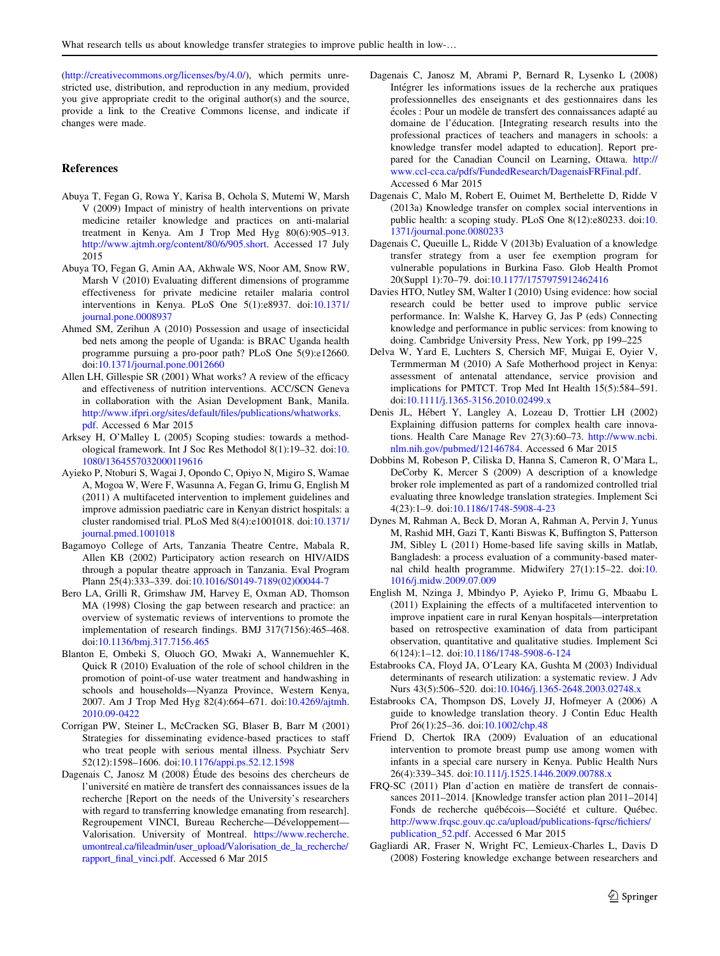<span id="page-12-0"></span>(<http://creativecommons.org/licenses/by/4.0/>), which permits unrestricted use, distribution, and reproduction in any medium, provided you give appropriate credit to the original author(s) and the source, provide a link to the Creative Commons license, and indicate if changes were made.

### References

- Abuya T, Fegan G, Rowa Y, Karisa B, Ochola S, Mutemi W, Marsh V (2009) Impact of ministry of health interventions on private medicine retailer knowledge and practices on anti-malarial treatment in Kenya. Am J Trop Med Hyg 80(6):905–913. [http://www.ajtmh.org/content/80/6/905.short.](http://www.ajtmh.org/content/80/6/905.short) Accessed 17 July 2015
- Abuya TO, Fegan G, Amin AA, Akhwale WS, Noor AM, Snow RW, Marsh V (2010) Evaluating different dimensions of programme effectiveness for private medicine retailer malaria control interventions in Kenya. PLoS One 5(1):e8937. doi[:10.1371/](http://dx.doi.org/10.1371/journal.pone.0008937) [journal.pone.0008937](http://dx.doi.org/10.1371/journal.pone.0008937)
- Ahmed SM, Zerihun A (2010) Possession and usage of insecticidal bed nets among the people of Uganda: is BRAC Uganda health programme pursuing a pro-poor path? PLoS One 5(9):e12660. doi[:10.1371/journal.pone.0012660](http://dx.doi.org/10.1371/journal.pone.0012660)
- Allen LH, Gillespie SR (2001) What works? A review of the efficacy and effectiveness of nutrition interventions. ACC/SCN Geneva in collaboration with the Asian Development Bank, Manila. [http://www.ifpri.org/sites/default/files/publications/whatworks.](http://www.ifpri.org/sites/default/files/publications/whatworks.pdf) [pdf](http://www.ifpri.org/sites/default/files/publications/whatworks.pdf). Accessed 6 Mar 2015
- Arksey H, O'Malley L (2005) Scoping studies: towards a methodological framework. Int J Soc Res Methodol 8(1):19–32. doi:[10.](http://dx.doi.org/10.1080/1364557032000119616) [1080/1364557032000119616](http://dx.doi.org/10.1080/1364557032000119616)
- Ayieko P, Ntoburi S, Wagai J, Opondo C, Opiyo N, Migiro S, Wamae A, Mogoa W, Were F, Wasunna A, Fegan G, Irimu G, English M (2011) A multifaceted intervention to implement guidelines and improve admission paediatric care in Kenyan district hospitals: a cluster randomised trial. PLoS Med 8(4):e1001018. doi[:10.1371/](http://dx.doi.org/10.1371/journal.pmed.1001018) [journal.pmed.1001018](http://dx.doi.org/10.1371/journal.pmed.1001018)
- Bagamoyo College of Arts, Tanzania Theatre Centre, Mabala R, Allen KB (2002) Participatory action research on HIV/AIDS through a popular theatre approach in Tanzania. Eval Program Plann 25(4):333–339. doi:[10.1016/S0149-7189\(02\)00044-7](http://dx.doi.org/10.1016/S0149-7189(02)00044-7)
- Bero LA, Grilli R, Grimshaw JM, Harvey E, Oxman AD, Thomson MA (1998) Closing the gap between research and practice: an overview of systematic reviews of interventions to promote the implementation of research findings. BMJ 317(7156):465–468. doi[:10.1136/bmj.317.7156.465](http://dx.doi.org/10.1136/bmj.317.7156.465)
- Blanton E, Ombeki S, Oluoch GO, Mwaki A, Wannemuehler K, Quick R (2010) Evaluation of the role of school children in the promotion of point-of-use water treatment and handwashing in schools and households—Nyanza Province, Western Kenya, 2007. Am J Trop Med Hyg 82(4):664–671. doi:[10.4269/ajtmh.](http://dx.doi.org/10.4269/ajtmh.2010.09-0422) [2010.09-0422](http://dx.doi.org/10.4269/ajtmh.2010.09-0422)
- Corrigan PW, Steiner L, McCracken SG, Blaser B, Barr M (2001) Strategies for disseminating evidence-based practices to staff who treat people with serious mental illness. Psychiatr Serv 52(12):1598–1606. doi[:10.1176/appi.ps.52.12.1598](http://dx.doi.org/10.1176/appi.ps.52.12.1598)
- Dagenais C, Janosz M (2008) Étude des besoins des chercheurs de l'université en matière de transfert des connaissances issues de la recherche [Report on the needs of the University's researchers with regard to transferring knowledge emanating from research]. Regroupement VINCI, Bureau Recherche—Développement— Valorisation. University of Montreal. [https://www.recherche.](https://www.recherche.umontreal.ca/fileadmin/user_upload/Valorisation_de_la_recherche/rapport_final_vinci.pdf) [umontreal.ca/fileadmin/user\\_upload/Valorisation\\_de\\_la\\_recherche/](https://www.recherche.umontreal.ca/fileadmin/user_upload/Valorisation_de_la_recherche/rapport_final_vinci.pdf) [rapport\\_final\\_vinci.pdf](https://www.recherche.umontreal.ca/fileadmin/user_upload/Valorisation_de_la_recherche/rapport_final_vinci.pdf). Accessed 6 Mar 2015
- Dagenais C, Janosz M, Abrami P, Bernard R, Lysenko L (2008) Intégrer les informations issues de la recherche aux pratiques professionnelles des enseignants et des gestionnaires dans les écoles : Pour un modèle de transfert des connaissances adapté au domaine de l'éducation. [Integrating research results into the professional practices of teachers and managers in schools: a knowledge transfer model adapted to education]. Report prepared for the Canadian Council on Learning, Ottawa. [http://](http://www.ccl-cca.ca/pdfs/FundedResearch/DagenaisFRFinal.pdf) [www.ccl-cca.ca/pdfs/FundedResearch/DagenaisFRFinal.pdf](http://www.ccl-cca.ca/pdfs/FundedResearch/DagenaisFRFinal.pdf). Accessed 6 Mar 2015
- Dagenais C, Malo M, Robert E, Ouimet M, Berthelette D, Ridde V (2013a) Knowledge transfer on complex social interventions in public health: a scoping study. PLoS One 8(12):e80233. doi:[10.](http://dx.doi.org/10.1371/journal.pone.0080233) [1371/journal.pone.0080233](http://dx.doi.org/10.1371/journal.pone.0080233)
- Dagenais C, Queuille L, Ridde V (2013b) Evaluation of a knowledge transfer strategy from a user fee exemption program for vulnerable populations in Burkina Faso. Glob Health Promot 20(Suppl 1):70–79. doi:[10.1177/1757975912462416](http://dx.doi.org/10.1177/1757975912462416)
- Davies HTO, Nutley SM, Walter I (2010) Using evidence: how social research could be better used to improve public service performance. In: Walshe K, Harvey G, Jas P (eds) Connecting knowledge and performance in public services: from knowing to doing. Cambridge University Press, New York, pp 199–225
- Delva W, Yard E, Luchters S, Chersich MF, Muigai E, Oyier V, Termmerman M (2010) A Safe Motherhood project in Kenya: assessment of antenatal attendance, service provision and implications for PMTCT. Trop Med Int Health 15(5):584–591. doi[:10.1111/j.1365-3156.2010.02499.x](http://dx.doi.org/10.1111/j.1365-3156.2010.02499.x)
- Denis JL, Hébert Y, Langley A, Lozeau D, Trottier LH (2002) Explaining diffusion patterns for complex health care innovations. Health Care Manage Rev 27(3):60–73. [http://www.ncbi.](http://www.ncbi.nlm.nih.gov/pubmed/12146784) [nlm.nih.gov/pubmed/12146784](http://www.ncbi.nlm.nih.gov/pubmed/12146784). Accessed 6 Mar 2015
- Dobbins M, Robeson P, Ciliska D, Hanna S, Cameron R, O'Mara L, DeCorby K, Mercer S (2009) A description of a knowledge broker role implemented as part of a randomized controlled trial evaluating three knowledge translation strategies. Implement Sci 4(23):1–9. doi:[10.1186/1748-5908-4-23](http://dx.doi.org/10.1186/1748-5908-4-23)
- Dynes M, Rahman A, Beck D, Moran A, Rahman A, Pervin J, Yunus M, Rashid MH, Gazi T, Kanti Biswas K, Buffington S, Patterson JM, Sibley L (2011) Home-based life saving skills in Matlab, Bangladesh: a process evaluation of a community-based maternal child health programme. Midwifery 27(1):15–22. doi:[10.](http://dx.doi.org/10.1016/j.midw.2009.07.009) [1016/j.midw.2009.07.009](http://dx.doi.org/10.1016/j.midw.2009.07.009)
- English M, Nzinga J, Mbindyo P, Ayieko P, Irimu G, Mbaabu L (2011) Explaining the effects of a multifaceted intervention to improve inpatient care in rural Kenyan hospitals—interpretation based on retrospective examination of data from participant observation, quantitative and qualitative studies. Implement Sci 6(124):1–12. doi[:10.1186/1748-5908-6-124](http://dx.doi.org/10.1186/1748-5908-6-124)
- Estabrooks CA, Floyd JA, O'Leary KA, Gushta M (2003) Individual determinants of research utilization: a systematic review. J Adv Nurs 43(5):506–520. doi:[10.1046/j.1365-2648.2003.02748.x](http://dx.doi.org/10.1046/j.1365-2648.2003.02748.x)
- Estabrooks CA, Thompson DS, Lovely JJ, Hofmeyer A (2006) A guide to knowledge translation theory. J Contin Educ Health Prof 26(1):25–36. doi:[10.1002/chp.48](http://dx.doi.org/10.1002/chp.48)
- Friend D, Chertok IRA (2009) Evaluation of an educational intervention to promote breast pump use among women with infants in a special care nursery in Kenya. Public Health Nurs 26(4):339–345. doi:[10.111/j.1525.1446.2009.00788.x](http://dx.doi.org/10.111/j.1525.1446.2009.00788.x)
- FRQ-SC (2011) Plan d'action en matière de transfert de connaissances 2011–2014. [Knowledge transfer action plan 2011–2014] Fonds de recherche québécois—Société et culture. Québec. [http://www.frqsc.gouv.qc.ca/upload/publications-fqrsc/fichiers/](http://www.frqsc.gouv.qc.ca/upload/publications-fqrsc/fichiers/publication_52.pdf) [publication\\_52.pdf.](http://www.frqsc.gouv.qc.ca/upload/publications-fqrsc/fichiers/publication_52.pdf) Accessed 6 Mar 2015
- Gagliardi AR, Fraser N, Wright FC, Lemieux-Charles L, Davis D (2008) Fostering knowledge exchange between researchers and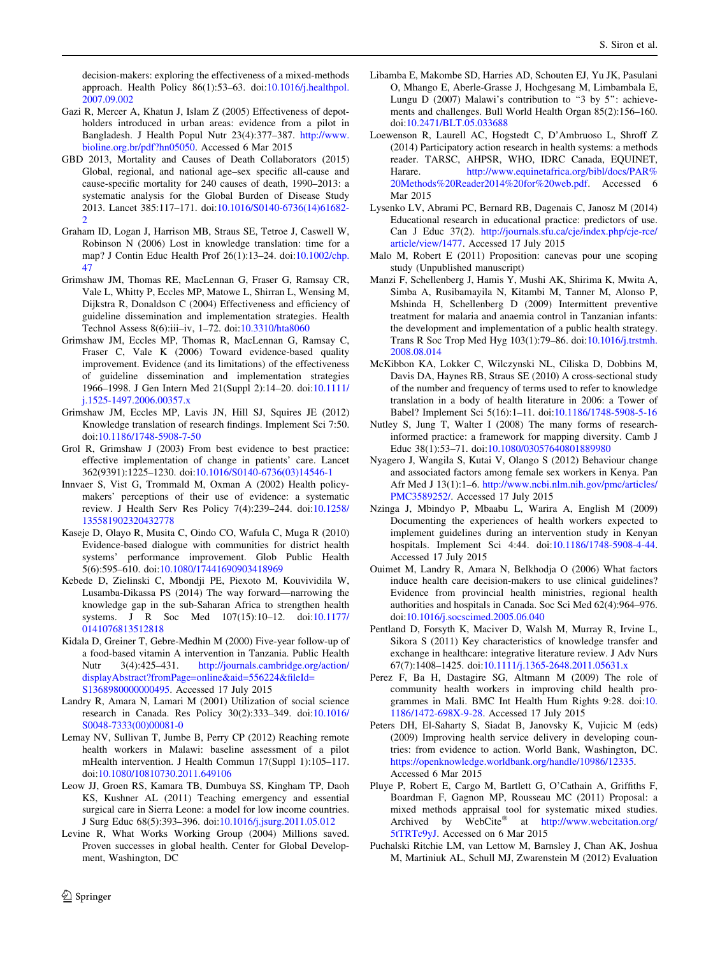<span id="page-13-0"></span>decision-makers: exploring the effectiveness of a mixed-methods approach. Health Policy 86(1):53–63. doi:[10.1016/j.healthpol.](http://dx.doi.org/10.1016/j.healthpol.2007.09.002) [2007.09.002](http://dx.doi.org/10.1016/j.healthpol.2007.09.002)

- Gazi R, Mercer A, Khatun J, Islam Z (2005) Effectiveness of depotholders introduced in urban areas: evidence from a pilot in Bangladesh. J Health Popul Nutr 23(4):377–387. [http://www.](http://www.bioline.org.br/pdf?hn05050) [bioline.org.br/pdf?hn05050](http://www.bioline.org.br/pdf?hn05050). Accessed 6 Mar 2015
- GBD 2013, Mortality and Causes of Death Collaborators (2015) Global, regional, and national age–sex specific all-cause and cause-specific mortality for 240 causes of death, 1990–2013: a systematic analysis for the Global Burden of Disease Study 2013. Lancet 385:117–171. doi:[10.1016/S0140-6736\(14\)61682-](http://dx.doi.org/10.1016/S0140-6736(14)61682-2) [2](http://dx.doi.org/10.1016/S0140-6736(14)61682-2)
- Graham ID, Logan J, Harrison MB, Straus SE, Tetroe J, Caswell W, Robinson N (2006) Lost in knowledge translation: time for a map? J Contin Educ Health Prof 26(1):13–24. doi:[10.1002/chp.](http://dx.doi.org/10.1002/chp.47) [47](http://dx.doi.org/10.1002/chp.47)
- Grimshaw JM, Thomas RE, MacLennan G, Fraser G, Ramsay CR, Vale L, Whitty P, Eccles MP, Matowe L, Shirran L, Wensing M, Dijkstra R, Donaldson C (2004) Effectiveness and efficiency of guideline dissemination and implementation strategies. Health Technol Assess 8(6):iii–iv, 1–72. doi[:10.3310/hta8060](http://dx.doi.org/10.3310/hta8060)
- Grimshaw JM, Eccles MP, Thomas R, MacLennan G, Ramsay C, Fraser C, Vale K (2006) Toward evidence-based quality improvement. Evidence (and its limitations) of the effectiveness of guideline dissemination and implementation strategies 1966–1998. J Gen Intern Med 21(Suppl 2):14–20. doi[:10.1111/](http://dx.doi.org/10.1111/j.1525-1497.2006.00357.x) [j.1525-1497.2006.00357.x](http://dx.doi.org/10.1111/j.1525-1497.2006.00357.x)
- Grimshaw JM, Eccles MP, Lavis JN, Hill SJ, Squires JE (2012) Knowledge translation of research findings. Implement Sci 7:50. doi[:10.1186/1748-5908-7-50](http://dx.doi.org/10.1186/1748-5908-7-50)
- Grol R, Grimshaw J (2003) From best evidence to best practice: effective implementation of change in patients' care. Lancet 362(9391):1225–1230. doi:[10.1016/S0140-6736\(03\)14546-1](http://dx.doi.org/10.1016/S0140-6736(03)14546-1)
- Innvaer S, Vist G, Trommald M, Oxman A (2002) Health policymakers' perceptions of their use of evidence: a systematic review. J Health Serv Res Policy 7(4):239–244. doi[:10.1258/](http://dx.doi.org/10.1258/135581902320432778) [135581902320432778](http://dx.doi.org/10.1258/135581902320432778)
- Kaseje D, Olayo R, Musita C, Oindo CO, Wafula C, Muga R (2010) Evidence-based dialogue with communities for district health systems' performance improvement. Glob Public Health 5(6):595–610. doi[:10.1080/17441690903418969](http://dx.doi.org/10.1080/17441690903418969)
- Kebede D, Zielinski C, Mbondji PE, Piexoto M, Kouvividila W, Lusamba-Dikassa PS (2014) The way forward—narrowing the knowledge gap in the sub-Saharan Africa to strengthen health systems. J R Soc Med 107(15):10–12. doi[:10.1177/](http://dx.doi.org/10.1177/0141076813512818) [0141076813512818](http://dx.doi.org/10.1177/0141076813512818)
- Kidala D, Greiner T, Gebre-Medhin M (2000) Five-year follow-up of a food-based vitamin A intervention in Tanzania. Public Health Nutr 3(4):425–431. [http://journals.cambridge.org/action/](http://journals.cambridge.org/action/displayAbstract?fromPage=online%26aid=556224%26fileId=S1368980000000495) [displayAbstract?fromPage=online&aid=556224&fileId=](http://journals.cambridge.org/action/displayAbstract?fromPage=online%26aid=556224%26fileId=S1368980000000495) [S1368980000000495](http://journals.cambridge.org/action/displayAbstract?fromPage=online%26aid=556224%26fileId=S1368980000000495). Accessed 17 July 2015
- Landry R, Amara N, Lamari M (2001) Utilization of social science research in Canada. Res Policy 30(2):333–349. doi[:10.1016/](http://dx.doi.org/10.1016/S0048-7333(00)00081-0) [S0048-7333\(00\)00081-0](http://dx.doi.org/10.1016/S0048-7333(00)00081-0)
- Lemay NV, Sullivan T, Jumbe B, Perry CP (2012) Reaching remote health workers in Malawi: baseline assessment of a pilot mHealth intervention. J Health Commun 17(Suppl 1):105–117. doi[:10.1080/10810730.2011.649106](http://dx.doi.org/10.1080/10810730.2011.649106)
- Leow JJ, Groen RS, Kamara TB, Dumbuya SS, Kingham TP, Daoh KS, Kushner AL (2011) Teaching emergency and essential surgical care in Sierra Leone: a model for low income countries. J Surg Educ 68(5):393–396. doi:[10.1016/j.jsurg.2011.05.012](http://dx.doi.org/10.1016/j.jsurg.2011.05.012)
- Levine R, What Works Working Group (2004) Millions saved. Proven successes in global health. Center for Global Development, Washington, DC
- Libamba E, Makombe SD, Harries AD, Schouten EJ, Yu JK, Pasulani O, Mhango E, Aberle-Grasse J, Hochgesang M, Limbambala E, Lungu D (2007) Malawi's contribution to "3 by 5": achievements and challenges. Bull World Health Organ 85(2):156–160. doi[:10.2471/BLT.05.033688](http://dx.doi.org/10.2471/BLT.05.033688)
- Loewenson R, Laurell AC, Hogstedt C, D'Ambruoso L, Shroff Z (2014) Participatory action research in health systems: a methods reader. TARSC, AHPSR, WHO, IDRC Canada, EQUINET, Harare. [http://www.equinetafrica.org/bibl/docs/PAR%](http://www.equinetafrica.org/bibl/docs/PAR%2520Methods%2520Reader2014%2520for%2520web.pdf) [20Methods%20Reader2014%20for%20web.pdf](http://www.equinetafrica.org/bibl/docs/PAR%2520Methods%2520Reader2014%2520for%2520web.pdf). Accessed 6 Mar 2015
- Lysenko LV, Abrami PC, Bernard RB, Dagenais C, Janosz M (2014) Educational research in educational practice: predictors of use. Can J Educ 37(2). [http://journals.sfu.ca/cje/index.php/cje-rce/](http://journals.sfu.ca/cje/index.php/cje-rce/article/view/1477) [article/view/1477.](http://journals.sfu.ca/cje/index.php/cje-rce/article/view/1477) Accessed 17 July 2015
- Malo M, Robert E (2011) Proposition: canevas pour une scoping study (Unpublished manuscript)
- Manzi F, Schellenberg J, Hamis Y, Mushi AK, Shirima K, Mwita A, Simba A, Rusibamayila N, Kitambi M, Tanner M, Alonso P, Mshinda H, Schellenberg D (2009) Intermittent preventive treatment for malaria and anaemia control in Tanzanian infants: the development and implementation of a public health strategy. Trans R Soc Trop Med Hyg 103(1):79–86. doi:[10.1016/j.trstmh.](http://dx.doi.org/10.1016/j.trstmh.2008.08.014) [2008.08.014](http://dx.doi.org/10.1016/j.trstmh.2008.08.014)
- McKibbon KA, Lokker C, Wilczynski NL, Ciliska D, Dobbins M, Davis DA, Haynes RB, Straus SE (2010) A cross-sectional study of the number and frequency of terms used to refer to knowledge translation in a body of health literature in 2006: a Tower of Babel? Implement Sci 5(16):1–11. doi:[10.1186/1748-5908-5-16](http://dx.doi.org/10.1186/1748-5908-5-16)
- Nutley S, Jung T, Walter I (2008) The many forms of researchinformed practice: a framework for mapping diversity. Camb J Educ 38(1):53–71. doi:[10.1080/03057640801889980](http://dx.doi.org/10.1080/03057640801889980)
- Nyagero J, Wangila S, Kutai V, Olango S (2012) Behaviour change and associated factors among female sex workers in Kenya. Pan Afr Med J 13(1):1–6. [http://www.ncbi.nlm.nih.gov/pmc/articles/](http://www.ncbi.nlm.nih.gov/pmc/articles/PMC3589252/) [PMC3589252/.](http://www.ncbi.nlm.nih.gov/pmc/articles/PMC3589252/) Accessed 17 July 2015
- Nzinga J, Mbindyo P, Mbaabu L, Warira A, English M (2009) Documenting the experiences of health workers expected to implement guidelines during an intervention study in Kenyan hospitals. Implement Sci 4:44. doi[:10.1186/1748-5908-4-44](http://dx.doi.org/10.1186/1748-5908-4-44). Accessed 17 July 2015
- Ouimet M, Landry R, Amara N, Belkhodja O (2006) What factors induce health care decision-makers to use clinical guidelines? Evidence from provincial health ministries, regional health authorities and hospitals in Canada. Soc Sci Med 62(4):964–976. doi[:10.1016/j.socscimed.2005.06.040](http://dx.doi.org/10.1016/j.socscimed.2005.06.040)
- Pentland D, Forsyth K, Maciver D, Walsh M, Murray R, Irvine L, Sikora S (2011) Key characteristics of knowledge transfer and exchange in healthcare: integrative literature review. J Adv Nurs 67(7):1408–1425. doi[:10.1111/j.1365-2648.2011.05631.x](http://dx.doi.org/10.1111/j.1365-2648.2011.05631.x)
- Perez F, Ba H, Dastagire SG, Altmann M (2009) The role of community health workers in improving child health programmes in Mali. BMC Int Health Hum Rights 9:28. doi:[10.](http://dx.doi.org/10.1186/1472-698X-9-28) [1186/1472-698X-9-28](http://dx.doi.org/10.1186/1472-698X-9-28). Accessed 17 July 2015
- Peters DH, El-Saharty S, Siadat B, Janovsky K, Vujicic M (eds) (2009) Improving health service delivery in developing countries: from evidence to action. World Bank, Washington, DC. <https://openknowledge.worldbank.org/handle/10986/12335>. Accessed 6 Mar 2015
- Pluye P, Robert E, Cargo M, Bartlett G, O'Cathain A, Griffiths F, Boardman F, Gagnon MP, Rousseau MC (2011) Proposal: a mixed methods appraisal tool for systematic mixed studies. Archived by WebCite<sup>®</sup> at [http://www.webcitation.org/](http://www.webcitation.org/5tTRTc9yJ) [5tTRTc9yJ](http://www.webcitation.org/5tTRTc9yJ). Accessed on 6 Mar 2015
- Puchalski Ritchie LM, van Lettow M, Barnsley J, Chan AK, Joshua M, Martiniuk AL, Schull MJ, Zwarenstein M (2012) Evaluation